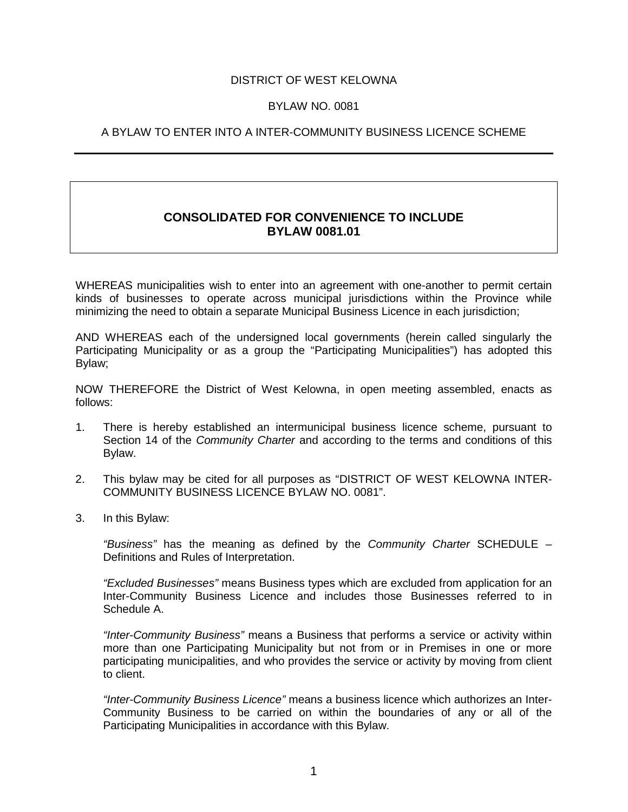### DISTRICT OF WEST KELOWNA

#### BYLAW NO. 0081

### A BYLAW TO ENTER INTO A INTER-COMMUNITY BUSINESS LICENCE SCHEME

## **CONSOLIDATED FOR CONVENIENCE TO INCLUDE BYLAW 0081.01**

WHEREAS municipalities wish to enter into an agreement with one-another to permit certain kinds of businesses to operate across municipal jurisdictions within the Province while minimizing the need to obtain a separate Municipal Business Licence in each jurisdiction;

AND WHEREAS each of the undersigned local governments (herein called singularly the Participating Municipality or as a group the "Participating Municipalities") has adopted this Bylaw;

NOW THEREFORE the District of West Kelowna, in open meeting assembled, enacts as follows:

- 1. There is hereby established an intermunicipal business licence scheme, pursuant to Section 14 of the *Community Charter* and according to the terms and conditions of this Bylaw.
- 2. This bylaw may be cited for all purposes as "DISTRICT OF WEST KELOWNA INTER-COMMUNITY BUSINESS LICENCE BYLAW NO. 0081".
- 3. In this Bylaw:

*"Business"* has the meaning as defined by the *Community Charter* SCHEDULE – Definitions and Rules of Interpretation.

*"Excluded Businesses"* means Business types which are excluded from application for an Inter-Community Business Licence and includes those Businesses referred to in Schedule A.

*"Inter-Community Business"* means a Business that performs a service or activity within more than one Participating Municipality but not from or in Premises in one or more participating municipalities, and who provides the service or activity by moving from client to client.

*"Inter-Community Business Licence"* means a business licence which authorizes an Inter-Community Business to be carried on within the boundaries of any or all of the Participating Municipalities in accordance with this Bylaw.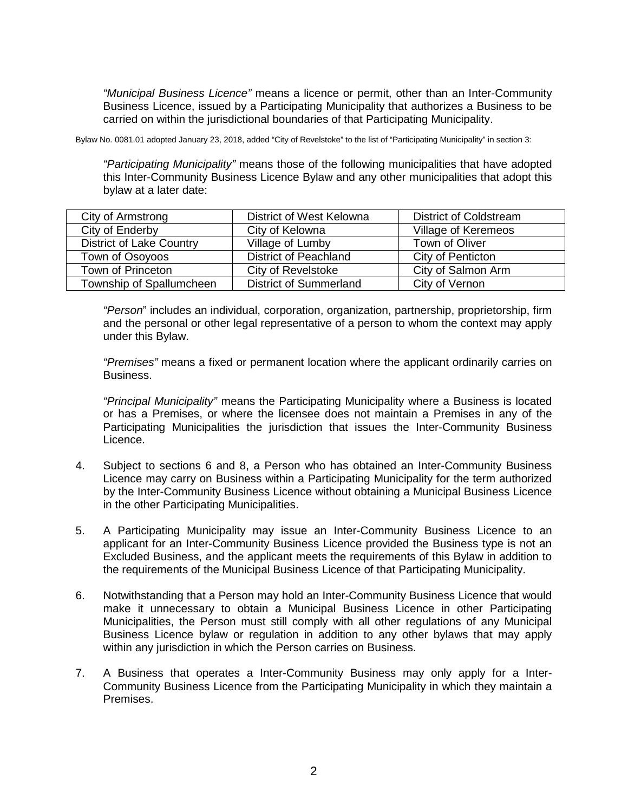*"Municipal Business Licence"* means a licence or permit, other than an Inter-Community Business Licence, issued by a Participating Municipality that authorizes a Business to be carried on within the jurisdictional boundaries of that Participating Municipality.

Bylaw No. 0081.01 adopted January 23, 2018, added "City of Revelstoke" to the list of "Participating Municipality" in section 3:

*"Participating Municipality"* means those of the following municipalities that have adopted this Inter-Community Business Licence Bylaw and any other municipalities that adopt this bylaw at a later date:

| City of Armstrong               | District of West Kelowna      | <b>District of Coldstream</b> |
|---------------------------------|-------------------------------|-------------------------------|
| City of Enderby                 | City of Kelowna               | Village of Keremeos           |
| <b>District of Lake Country</b> | Village of Lumby              | Town of Oliver                |
| Town of Osoyoos                 | <b>District of Peachland</b>  | City of Penticton             |
| Town of Princeton               | City of Revelstoke            | City of Salmon Arm            |
| Township of Spallumcheen        | <b>District of Summerland</b> | City of Vernon                |

*"Person*" includes an individual, corporation, organization, partnership, proprietorship, firm and the personal or other legal representative of a person to whom the context may apply under this Bylaw.

*"Premises"* means a fixed or permanent location where the applicant ordinarily carries on Business.

*"Principal Municipality"* means the Participating Municipality where a Business is located or has a Premises, or where the licensee does not maintain a Premises in any of the Participating Municipalities the jurisdiction that issues the Inter-Community Business Licence.

- 4. Subject to sections 6 and 8, a Person who has obtained an Inter-Community Business Licence may carry on Business within a Participating Municipality for the term authorized by the Inter-Community Business Licence without obtaining a Municipal Business Licence in the other Participating Municipalities.
- 5. A Participating Municipality may issue an Inter-Community Business Licence to an applicant for an Inter-Community Business Licence provided the Business type is not an Excluded Business, and the applicant meets the requirements of this Bylaw in addition to the requirements of the Municipal Business Licence of that Participating Municipality.
- 6. Notwithstanding that a Person may hold an Inter-Community Business Licence that would make it unnecessary to obtain a Municipal Business Licence in other Participating Municipalities, the Person must still comply with all other regulations of any Municipal Business Licence bylaw or regulation in addition to any other bylaws that may apply within any jurisdiction in which the Person carries on Business.
- 7. A Business that operates a Inter-Community Business may only apply for a Inter-Community Business Licence from the Participating Municipality in which they maintain a Premises.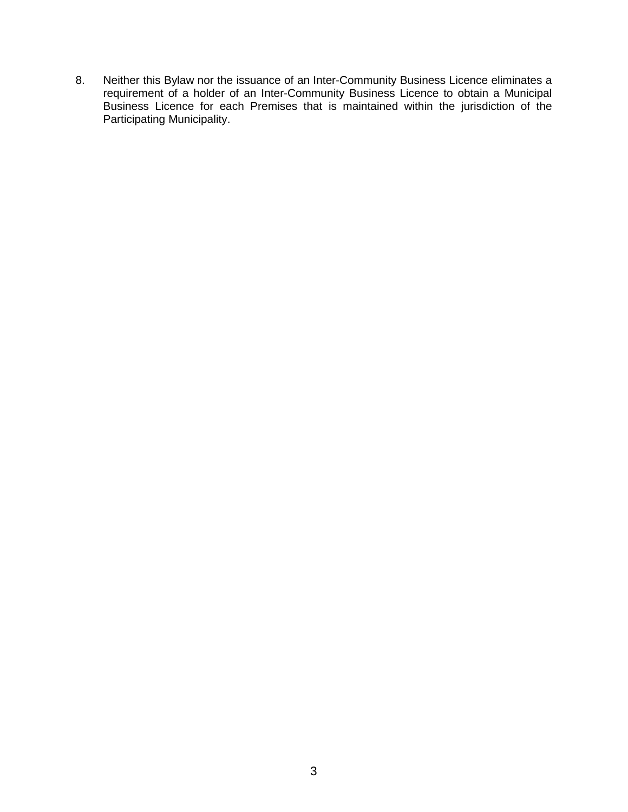8. Neither this Bylaw nor the issuance of an Inter-Community Business Licence eliminates a requirement of a holder of an Inter-Community Business Licence to obtain a Municipal Business Licence for each Premises that is maintained within the jurisdiction of the Participating Municipality.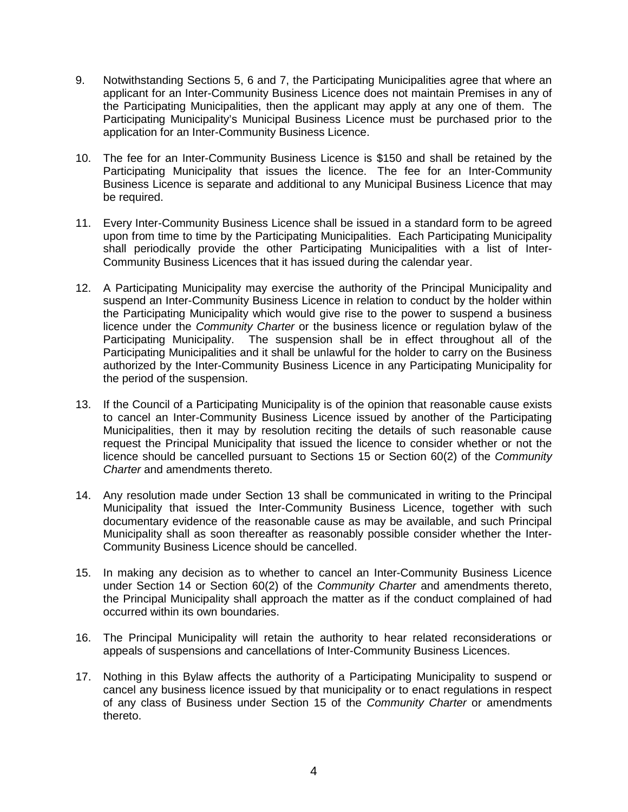- 9. Notwithstanding Sections 5, 6 and 7, the Participating Municipalities agree that where an applicant for an Inter-Community Business Licence does not maintain Premises in any of the Participating Municipalities, then the applicant may apply at any one of them. The Participating Municipality's Municipal Business Licence must be purchased prior to the application for an Inter-Community Business Licence.
- 10. The fee for an Inter-Community Business Licence is \$150 and shall be retained by the Participating Municipality that issues the licence. The fee for an Inter-Community Business Licence is separate and additional to any Municipal Business Licence that may be required.
- 11. Every Inter-Community Business Licence shall be issued in a standard form to be agreed upon from time to time by the Participating Municipalities. Each Participating Municipality shall periodically provide the other Participating Municipalities with a list of Inter-Community Business Licences that it has issued during the calendar year.
- 12. A Participating Municipality may exercise the authority of the Principal Municipality and suspend an Inter-Community Business Licence in relation to conduct by the holder within the Participating Municipality which would give rise to the power to suspend a business licence under the *Community Charter* or the business licence or regulation bylaw of the Participating Municipality. The suspension shall be in effect throughout all of the Participating Municipalities and it shall be unlawful for the holder to carry on the Business authorized by the Inter-Community Business Licence in any Participating Municipality for the period of the suspension.
- 13. If the Council of a Participating Municipality is of the opinion that reasonable cause exists to cancel an Inter-Community Business Licence issued by another of the Participating Municipalities, then it may by resolution reciting the details of such reasonable cause request the Principal Municipality that issued the licence to consider whether or not the licence should be cancelled pursuant to Sections 15 or Section 60(2) of the *Community Charter* and amendments thereto.
- 14. Any resolution made under Section 13 shall be communicated in writing to the Principal Municipality that issued the Inter-Community Business Licence, together with such documentary evidence of the reasonable cause as may be available, and such Principal Municipality shall as soon thereafter as reasonably possible consider whether the Inter-Community Business Licence should be cancelled.
- 15. In making any decision as to whether to cancel an Inter-Community Business Licence under Section 14 or Section 60(2) of the *Community Charter* and amendments thereto, the Principal Municipality shall approach the matter as if the conduct complained of had occurred within its own boundaries.
- 16. The Principal Municipality will retain the authority to hear related reconsiderations or appeals of suspensions and cancellations of Inter-Community Business Licences.
- 17. Nothing in this Bylaw affects the authority of a Participating Municipality to suspend or cancel any business licence issued by that municipality or to enact regulations in respect of any class of Business under Section 15 of the *Community Charter* or amendments thereto.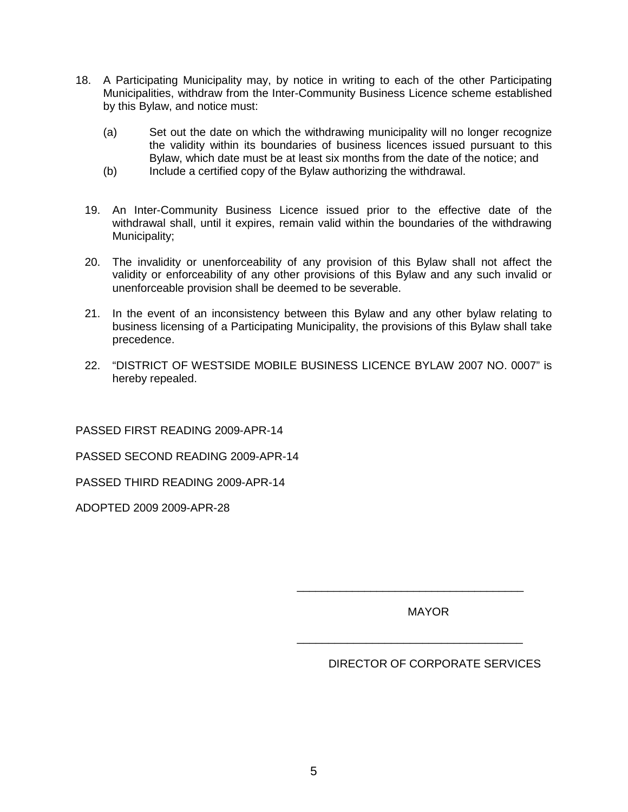- 18. A Participating Municipality may, by notice in writing to each of the other Participating Municipalities, withdraw from the Inter-Community Business Licence scheme established by this Bylaw, and notice must:
	- (a) Set out the date on which the withdrawing municipality will no longer recognize the validity within its boundaries of business licences issued pursuant to this Bylaw, which date must be at least six months from the date of the notice; and
	- (b) Include a certified copy of the Bylaw authorizing the withdrawal.
	- 19. An Inter-Community Business Licence issued prior to the effective date of the withdrawal shall, until it expires, remain valid within the boundaries of the withdrawing Municipality;
	- 20. The invalidity or unenforceability of any provision of this Bylaw shall not affect the validity or enforceability of any other provisions of this Bylaw and any such invalid or unenforceable provision shall be deemed to be severable.
	- 21. In the event of an inconsistency between this Bylaw and any other bylaw relating to business licensing of a Participating Municipality, the provisions of this Bylaw shall take precedence.
	- 22. "DISTRICT OF WESTSIDE MOBILE BUSINESS LICENCE BYLAW 2007 NO. 0007" is hereby repealed.

PASSED FIRST READING 2009-APR-14

PASSED SECOND READING 2009-APR-14

PASSED THIRD READING 2009-APR-14

ADOPTED 2009 2009-APR-28

MAYOR

\_\_\_\_\_\_\_\_\_\_\_\_\_\_\_\_\_\_\_\_\_\_\_\_\_\_\_\_\_\_\_\_\_\_\_\_\_

\_\_\_\_\_\_\_\_\_\_\_\_\_\_\_\_\_\_\_\_\_\_\_\_\_\_\_\_\_\_\_\_\_\_\_\_

DIRECTOR OF CORPORATE SERVICES